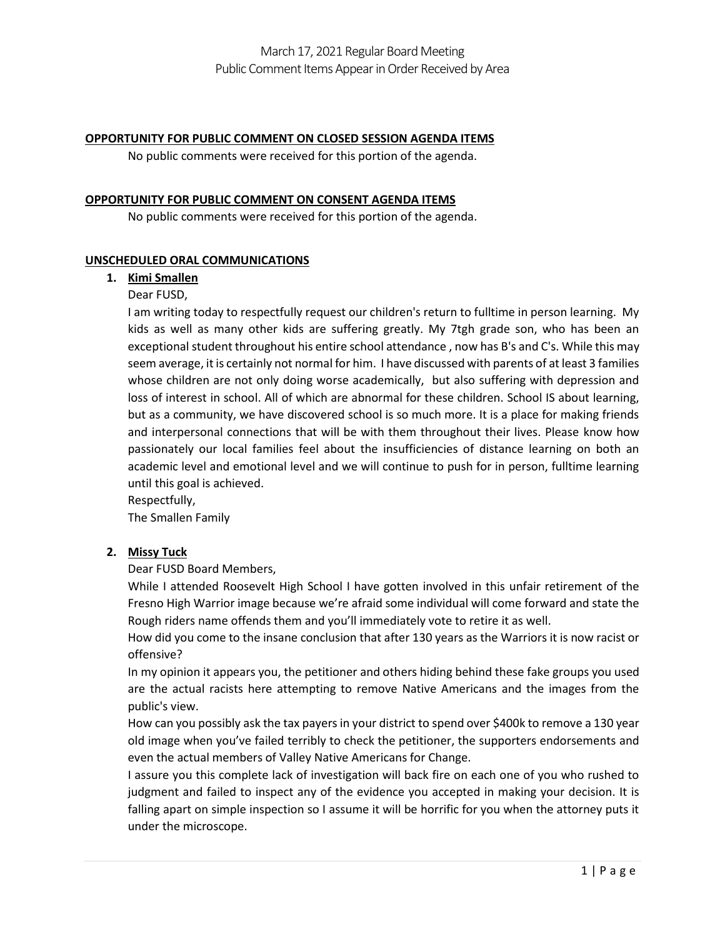#### **OPPORTUNITY FOR PUBLIC COMMENT ON CLOSED SESSION AGENDA ITEMS**

No public comments were received for this portion of the agenda.

#### **OPPORTUNITY FOR PUBLIC COMMENT ON CONSENT AGENDA ITEMS**

No public comments were received for this portion of the agenda.

### **UNSCHEDULED ORAL COMMUNICATIONS**

### **1. Kimi Smallen**

### Dear FUSD,

I am writing today to respectfully request our children's return to fulltime in person learning. My kids as well as many other kids are suffering greatly. My 7tgh grade son, who has been an exceptional student throughout his entire school attendance , now has B's and C's. While this may seem average, it is certainly not normal for him. I have discussed with parents of at least 3 families whose children are not only doing worse academically, but also suffering with depression and loss of interest in school. All of which are abnormal for these children. School IS about learning, but as a community, we have discovered school is so much more. It is a place for making friends and interpersonal connections that will be with them throughout their lives. Please know how passionately our local families feel about the insufficiencies of distance learning on both an academic level and emotional level and we will continue to push for in person, fulltime learning until this goal is achieved.

Respectfully,

The Smallen Family

### **2. Missy Tuck**

Dear FUSD Board Members,

While I attended Roosevelt High School I have gotten involved in this unfair retirement of the Fresno High Warrior image because we're afraid some individual will come forward and state the Rough riders name offends them and you'll immediately vote to retire it as well.

How did you come to the insane conclusion that after 130 years as the Warriors it is now racist or offensive?

In my opinion it appears you, the petitioner and others hiding behind these fake groups you used are the actual racists here attempting to remove Native Americans and the images from the public's view.

How can you possibly ask the tax payers in your district to spend over \$400k to remove a 130 year old image when you've failed terribly to check the petitioner, the supporters endorsements and even the actual members of Valley Native Americans for Change.

I assure you this complete lack of investigation will back fire on each one of you who rushed to judgment and failed to inspect any of the evidence you accepted in making your decision. It is falling apart on simple inspection so I assume it will be horrific for you when the attorney puts it under the microscope.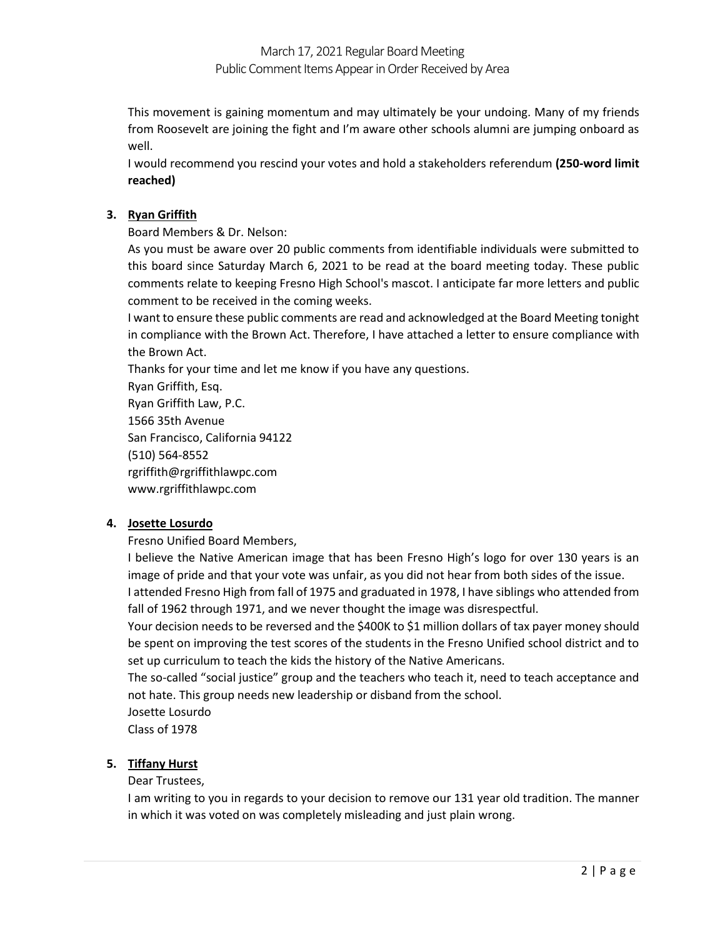This movement is gaining momentum and may ultimately be your undoing. Many of my friends from Roosevelt are joining the fight and I'm aware other schools alumni are jumping onboard as well.

I would recommend you rescind your votes and hold a stakeholders referendum **(250-word limit reached)**

## **3. Ryan Griffith**

Board Members & Dr. Nelson:

As you must be aware over 20 public comments from identifiable individuals were submitted to this board since Saturday March 6, 2021 to be read at the board meeting today. These public comments relate to keeping Fresno High School's mascot. I anticipate far more letters and public comment to be received in the coming weeks.

I want to ensure these public comments are read and acknowledged at the Board Meeting tonight in compliance with the Brown Act. Therefore, I have attached a letter to ensure compliance with the Brown Act.

Thanks for your time and let me know if you have any questions.

Ryan Griffith, Esq. Ryan Griffith Law, P.C. 1566 35th Avenue San Francisco, California 94122 (510) 564-8552 rgriffith@rgriffithlawpc.com www.rgriffithlawpc.com

## **4. Josette Losurdo**

Fresno Unified Board Members,

I believe the Native American image that has been Fresno High's logo for over 130 years is an image of pride and that your vote was unfair, as you did not hear from both sides of the issue.

I attended Fresno High from fall of 1975 and graduated in 1978, I have siblings who attended from fall of 1962 through 1971, and we never thought the image was disrespectful.

Your decision needs to be reversed and the \$400K to \$1 million dollars of tax payer money should be spent on improving the test scores of the students in the Fresno Unified school district and to set up curriculum to teach the kids the history of the Native Americans.

The so-called "social justice" group and the teachers who teach it, need to teach acceptance and not hate. This group needs new leadership or disband from the school.

Josette Losurdo

Class of 1978

## **5. Tiffany Hurst**

### Dear Trustees,

I am writing to you in regards to your decision to remove our 131 year old tradition. The manner in which it was voted on was completely misleading and just plain wrong.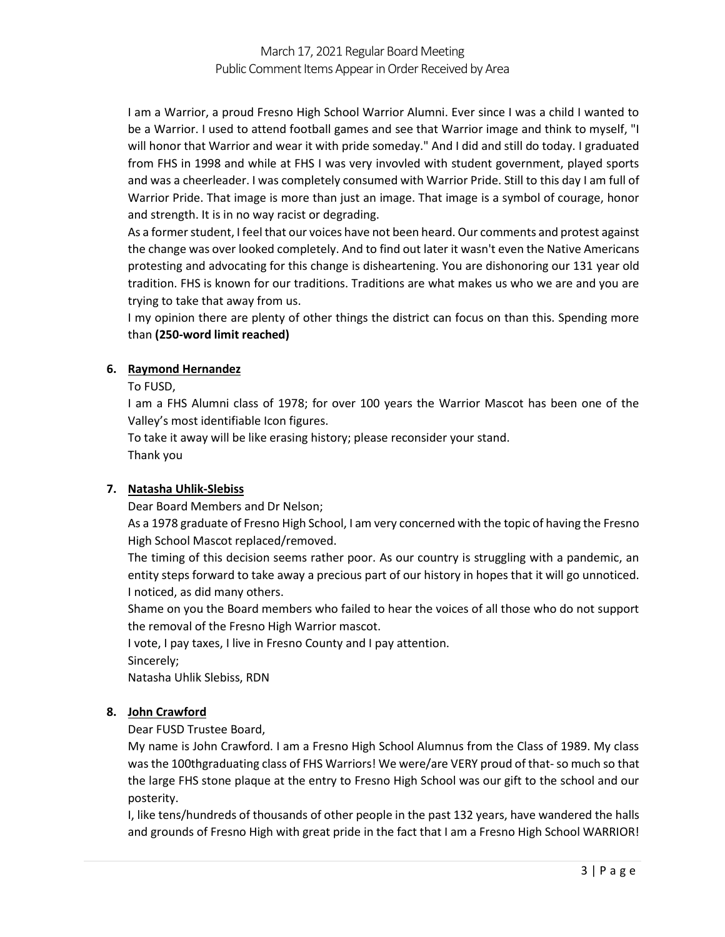# March 17, 2021 Regular Board Meeting Public Comment Items Appear in Order Received by Area

I am a Warrior, a proud Fresno High School Warrior Alumni. Ever since I was a child I wanted to be a Warrior. I used to attend football games and see that Warrior image and think to myself, "I will honor that Warrior and wear it with pride someday." And I did and still do today. I graduated from FHS in 1998 and while at FHS I was very invovled with student government, played sports and was a cheerleader. I was completely consumed with Warrior Pride. Still to this day I am full of Warrior Pride. That image is more than just an image. That image is a symbol of courage, honor and strength. It is in no way racist or degrading.

As a former student, I feel that our voices have not been heard. Our comments and protest against the change was over looked completely. And to find out later it wasn't even the Native Americans protesting and advocating for this change is disheartening. You are dishonoring our 131 year old tradition. FHS is known for our traditions. Traditions are what makes us who we are and you are trying to take that away from us.

I my opinion there are plenty of other things the district can focus on than this. Spending more than **(250-word limit reached)**

### **6. Raymond Hernandez**

To FUSD,

I am a FHS Alumni class of 1978; for over 100 years the Warrior Mascot has been one of the Valley's most identifiable Icon figures.

To take it away will be like erasing history; please reconsider your stand. Thank you

### **7. Natasha Uhlik-Slebiss**

Dear Board Members and Dr Nelson;

As a 1978 graduate of Fresno High School, I am very concerned with the topic of having the Fresno High School Mascot replaced/removed.

The timing of this decision seems rather poor. As our country is struggling with a pandemic, an entity steps forward to take away a precious part of our history in hopes that it will go unnoticed. I noticed, as did many others.

Shame on you the Board members who failed to hear the voices of all those who do not support the removal of the Fresno High Warrior mascot.

I vote, I pay taxes, I live in Fresno County and I pay attention.

Sincerely;

Natasha Uhlik Slebiss, RDN

### **8. John Crawford**

Dear FUSD Trustee Board,

My name is John Crawford. I am a Fresno High School Alumnus from the Class of 1989. My class was the 100thgraduating class of FHS Warriors! We were/are VERY proud of that-so much so that the large FHS stone plaque at the entry to Fresno High School was our gift to the school and our posterity.

I, like tens/hundreds of thousands of other people in the past 132 years, have wandered the halls and grounds of Fresno High with great pride in the fact that I am a Fresno High School WARRIOR!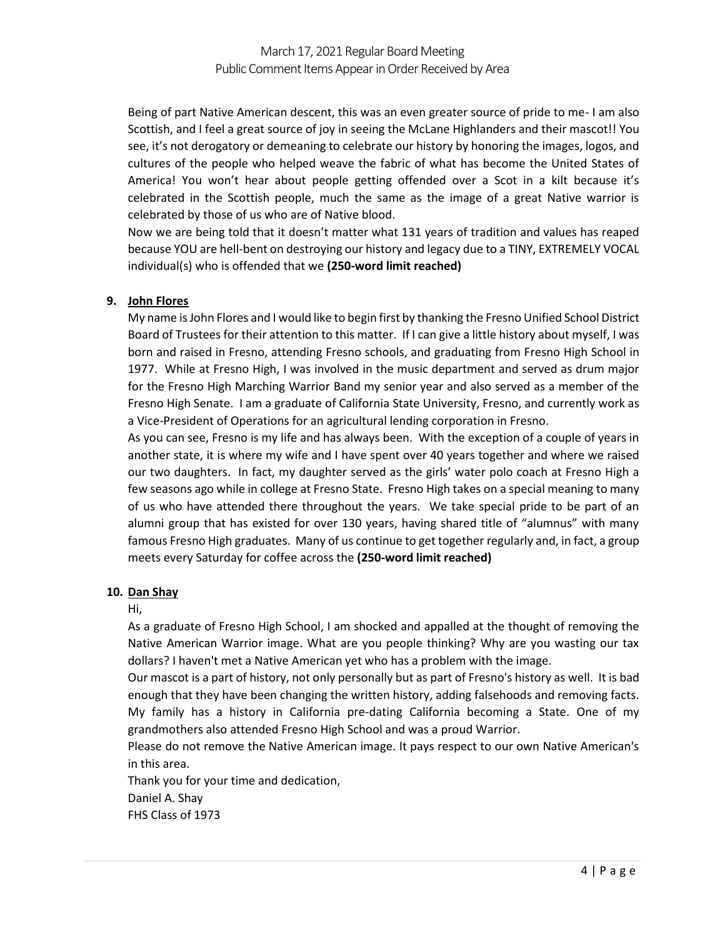Being of part Native American descent, this was an even greater source of pride to me- I am also Scottish, and I feel a great source of joy in seeing the McLane Highlanders and their mascot!! You see, it's not derogatory or demeaning to celebrate our history by honoring the images, logos, and cultures of the people who helped weave the fabric of what has become the United States of America! You won't hear about people getting offended over a Scot in a kilt because it's celebrated in the Scottish people, much the same as the image of a great Native warrior is celebrated by those of us who are of Native blood.

Now we are being told that it doesn't matter what 131 years of tradition and values has reaped because YOU are hell-bent on destroying our history and legacy due to a TINY, EXTREMELY VOCAL individual(s) who is offended that we **(250-word limit reached)**

### **9. John Flores**

My name is John Flores and I would like to begin first by thanking the Fresno Unified School District Board of Trustees for their attention to this matter. If I can give a little history about myself, I was born and raised in Fresno, attending Fresno schools, and graduating from Fresno High School in 1977. While at Fresno High, I was involved in the music department and served as drum major for the Fresno High Marching Warrior Band my senior year and also served as a member of the Fresno High Senate. I am a graduate of California State University, Fresno, and currently work as a Vice-President of Operations for an agricultural lending corporation in Fresno.

As you can see, Fresno is my life and has always been. With the exception of a couple of years in another state, it is where my wife and I have spent over 40 years together and where we raised our two daughters. In fact, my daughter served as the girls' water polo coach at Fresno High a few seasons ago while in college at Fresno State. Fresno High takes on a special meaning to many of us who have attended there throughout the years. We take special pride to be part of an alumni group that has existed for over 130 years, having shared title of "alumnus" with many famous Fresno High graduates. Many of us continue to get together regularly and, in fact, a group meets every Saturday for coffee across the **(250-word limit reached)**

### **10. Dan Shay**

Hi,

As a graduate of Fresno High School, I am shocked and appalled at the thought of removing the Native American Warrior image. What are you people thinking? Why are you wasting our tax dollars? I haven't met a Native American yet who has a problem with the image.

Our mascot is a part of history, not only personally but as part of Fresno's history as well. It is bad enough that they have been changing the written history, adding falsehoods and removing facts. My family has a history in California pre-dating California becoming a State. One of my grandmothers also attended Fresno High School and was a proud Warrior.

Please do not remove the Native American image. It pays respect to our own Native American's in this area.

Thank you for your time and dedication, Daniel A. Shay FHS Class of 1973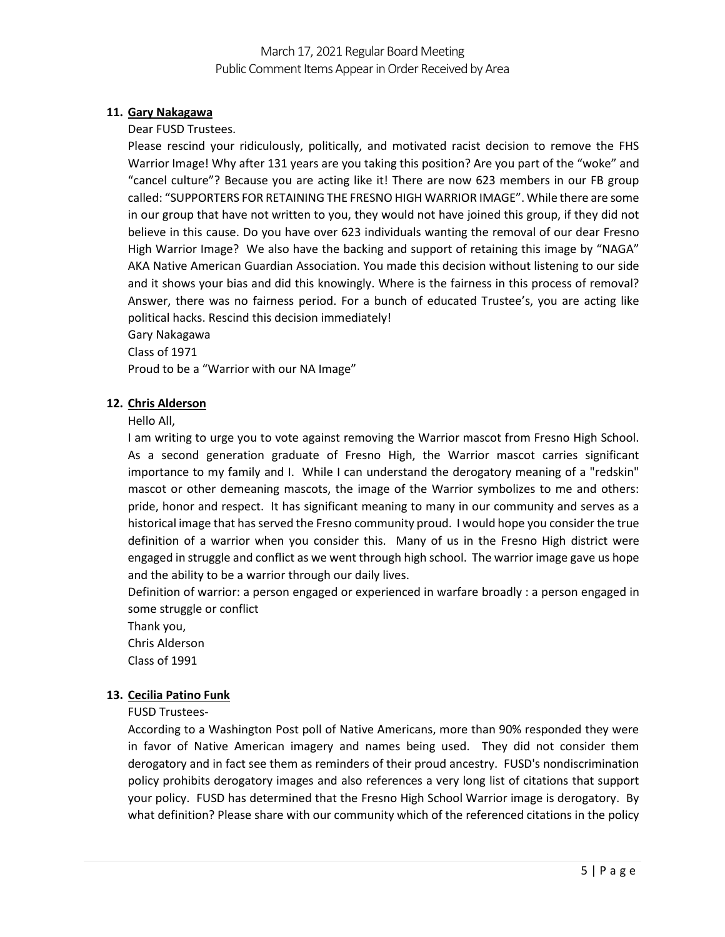### **11. Gary Nakagawa**

Dear FUSD Trustees.

Please rescind your ridiculously, politically, and motivated racist decision to remove the FHS Warrior Image! Why after 131 years are you taking this position? Are you part of the "woke" and "cancel culture"? Because you are acting like it! There are now 623 members in our FB group called: "SUPPORTERS FOR RETAINING THE FRESNO HIGH WARRIOR IMAGE". While there are some in our group that have not written to you, they would not have joined this group, if they did not believe in this cause. Do you have over 623 individuals wanting the removal of our dear Fresno High Warrior Image? We also have the backing and support of retaining this image by "NAGA" AKA Native American Guardian Association. You made this decision without listening to our side and it shows your bias and did this knowingly. Where is the fairness in this process of removal? Answer, there was no fairness period. For a bunch of educated Trustee's, you are acting like political hacks. Rescind this decision immediately!

Gary Nakagawa

Class of 1971

Proud to be a "Warrior with our NA Image"

### **12. Chris Alderson**

Hello All,

I am writing to urge you to vote against removing the Warrior mascot from Fresno High School. As a second generation graduate of Fresno High, the Warrior mascot carries significant importance to my family and I. While I can understand the derogatory meaning of a "redskin" mascot or other demeaning mascots, the image of the Warrior symbolizes to me and others: pride, honor and respect. It has significant meaning to many in our community and serves as a historical image that has served the Fresno community proud. I would hope you consider the true definition of a warrior when you consider this. Many of us in the Fresno High district were engaged in struggle and conflict as we went through high school. The warrior image gave us hope and the ability to be a warrior through our daily lives.

Definition of warrior: a person engaged or experienced in warfare broadly : a person engaged in some struggle or conflict

Thank you, Chris Alderson

Class of 1991

### **13. Cecilia Patino Funk**

FUSD Trustees-

According to a Washington Post poll of Native Americans, more than 90% responded they were in favor of Native American imagery and names being used. They did not consider them derogatory and in fact see them as reminders of their proud ancestry. FUSD's nondiscrimination policy prohibits derogatory images and also references a very long list of citations that support your policy. FUSD has determined that the Fresno High School Warrior image is derogatory. By what definition? Please share with our community which of the referenced citations in the policy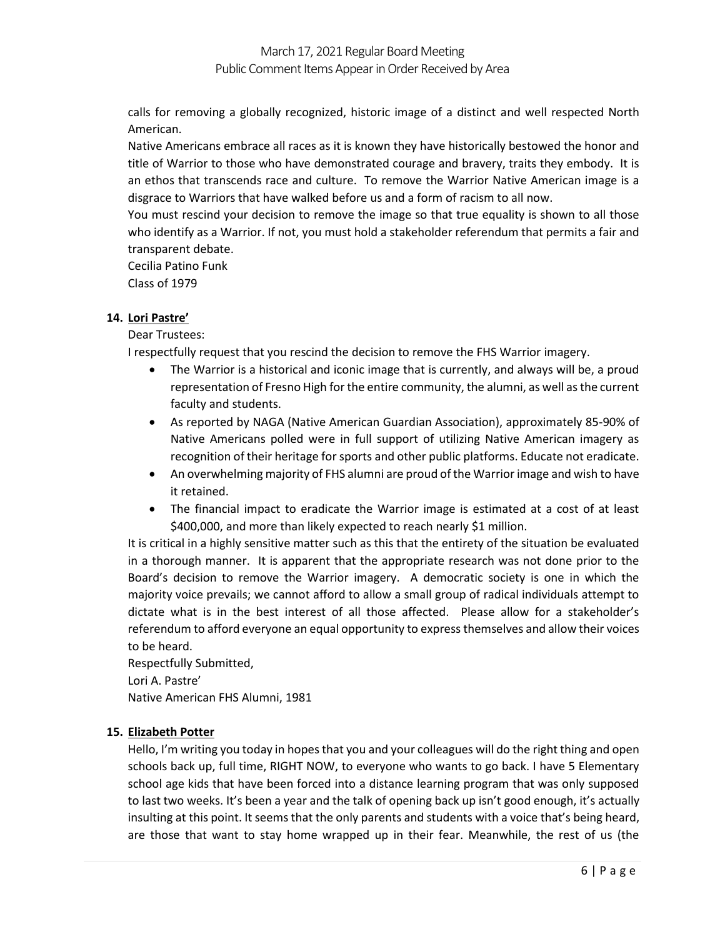calls for removing a globally recognized, historic image of a distinct and well respected North American.

Native Americans embrace all races as it is known they have historically bestowed the honor and title of Warrior to those who have demonstrated courage and bravery, traits they embody. It is an ethos that transcends race and culture. To remove the Warrior Native American image is a disgrace to Warriors that have walked before us and a form of racism to all now.

You must rescind your decision to remove the image so that true equality is shown to all those who identify as a Warrior. If not, you must hold a stakeholder referendum that permits a fair and transparent debate.

Cecilia Patino Funk Class of 1979

## **14. Lori Pastre'**

Dear Trustees:

I respectfully request that you rescind the decision to remove the FHS Warrior imagery.

- The Warrior is a historical and iconic image that is currently, and always will be, a proud representation of Fresno High for the entire community, the alumni, as well as the current faculty and students.
- As reported by NAGA (Native American Guardian Association), approximately 85-90% of Native Americans polled were in full support of utilizing Native American imagery as recognition of their heritage for sports and other public platforms. Educate not eradicate.
- An overwhelming majority of FHS alumni are proud of the Warrior image and wish to have it retained.
- The financial impact to eradicate the Warrior image is estimated at a cost of at least \$400,000, and more than likely expected to reach nearly \$1 million.

It is critical in a highly sensitive matter such as this that the entirety of the situation be evaluated in a thorough manner. It is apparent that the appropriate research was not done prior to the Board's decision to remove the Warrior imagery. A democratic society is one in which the majority voice prevails; we cannot afford to allow a small group of radical individuals attempt to dictate what is in the best interest of all those affected. Please allow for a stakeholder's referendum to afford everyone an equal opportunity to express themselves and allow their voices to be heard.

Respectfully Submitted, Lori A. Pastre' Native American FHS Alumni, 1981

### **15. Elizabeth Potter**

Hello, I'm writing you today in hopes that you and your colleagues will do the right thing and open schools back up, full time, RIGHT NOW, to everyone who wants to go back. I have 5 Elementary school age kids that have been forced into a distance learning program that was only supposed to last two weeks. It's been a year and the talk of opening back up isn't good enough, it's actually insulting at this point. It seems that the only parents and students with a voice that's being heard, are those that want to stay home wrapped up in their fear. Meanwhile, the rest of us (the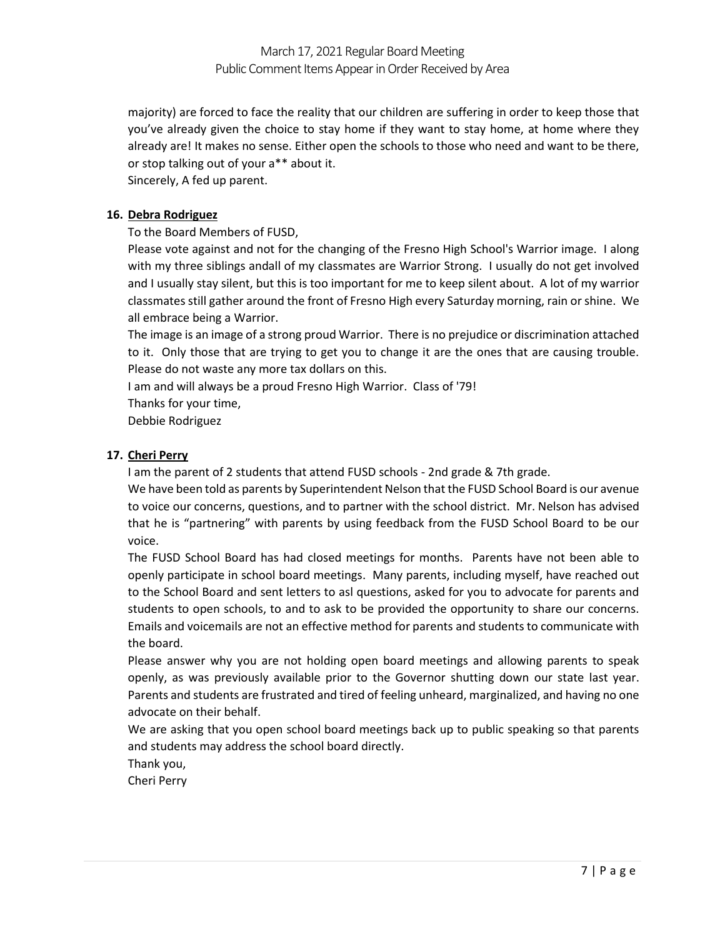majority) are forced to face the reality that our children are suffering in order to keep those that you've already given the choice to stay home if they want to stay home, at home where they already are! It makes no sense. Either open the schools to those who need and want to be there, or stop talking out of your a\*\* about it.

Sincerely, A fed up parent.

### **16. Debra Rodriguez**

To the Board Members of FUSD,

Please vote against and not for the changing of the Fresno High School's Warrior image. I along with my three siblings andall of my classmates are Warrior Strong. I usually do not get involved and I usually stay silent, but this is too important for me to keep silent about. A lot of my warrior classmates still gather around the front of Fresno High every Saturday morning, rain or shine. We all embrace being a Warrior.

The image is an image of a strong proud Warrior. There is no prejudice or discrimination attached to it. Only those that are trying to get you to change it are the ones that are causing trouble. Please do not waste any more tax dollars on this.

I am and will always be a proud Fresno High Warrior. Class of '79!

Thanks for your time,

Debbie Rodriguez

## **17. Cheri Perry**

I am the parent of 2 students that attend FUSD schools - 2nd grade & 7th grade.

We have been told as parents by Superintendent Nelson that the FUSD School Board is our avenue to voice our concerns, questions, and to partner with the school district. Mr. Nelson has advised that he is "partnering" with parents by using feedback from the FUSD School Board to be our voice.

The FUSD School Board has had closed meetings for months. Parents have not been able to openly participate in school board meetings. Many parents, including myself, have reached out to the School Board and sent letters to asl questions, asked for you to advocate for parents and students to open schools, to and to ask to be provided the opportunity to share our concerns. Emails and voicemails are not an effective method for parents and students to communicate with the board.

Please answer why you are not holding open board meetings and allowing parents to speak openly, as was previously available prior to the Governor shutting down our state last year. Parents and students are frustrated and tired of feeling unheard, marginalized, and having no one advocate on their behalf.

We are asking that you open school board meetings back up to public speaking so that parents and students may address the school board directly.

Thank you,

Cheri Perry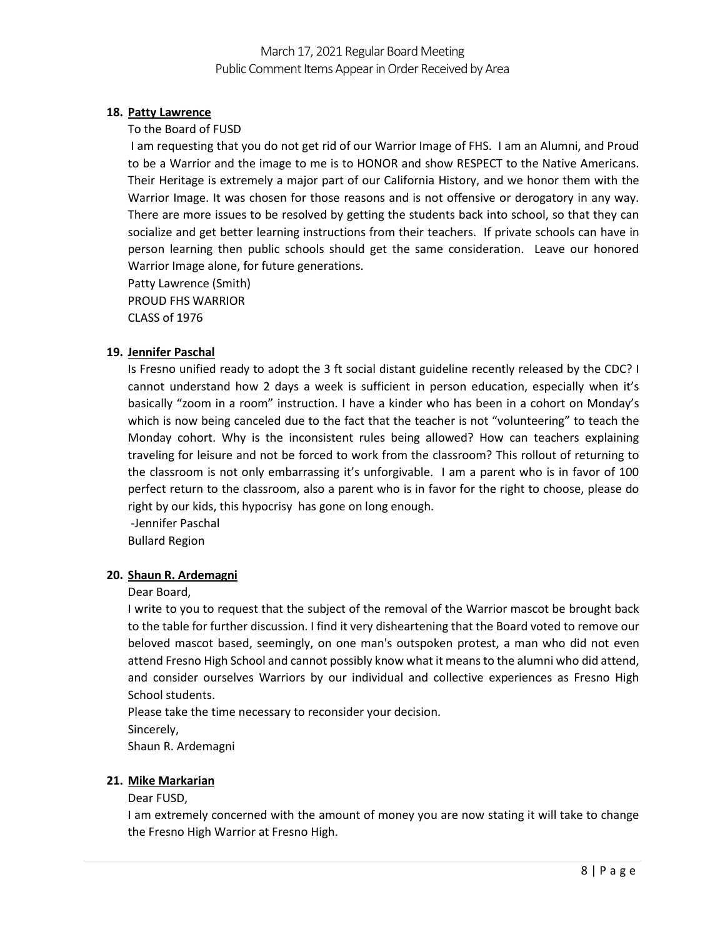### **18. Patty Lawrence**

#### To the Board of FUSD

I am requesting that you do not get rid of our Warrior Image of FHS. I am an Alumni, and Proud to be a Warrior and the image to me is to HONOR and show RESPECT to the Native Americans. Their Heritage is extremely a major part of our California History, and we honor them with the Warrior Image. It was chosen for those reasons and is not offensive or derogatory in any way. There are more issues to be resolved by getting the students back into school, so that they can socialize and get better learning instructions from their teachers. If private schools can have in person learning then public schools should get the same consideration. Leave our honored Warrior Image alone, for future generations.

Patty Lawrence (Smith) PROUD FHS WARRIOR CLASS of 1976

#### **19. Jennifer Paschal**

Is Fresno unified ready to adopt the 3 ft social distant guideline recently released by the CDC? I cannot understand how 2 days a week is sufficient in person education, especially when it's basically "zoom in a room" instruction. I have a kinder who has been in a cohort on Monday's which is now being canceled due to the fact that the teacher is not "volunteering" to teach the Monday cohort. Why is the inconsistent rules being allowed? How can teachers explaining traveling for leisure and not be forced to work from the classroom? This rollout of returning to the classroom is not only embarrassing it's unforgivable. I am a parent who is in favor of 100 perfect return to the classroom, also a parent who is in favor for the right to choose, please do right by our kids, this hypocrisy has gone on long enough.

-Jennifer Paschal

Bullard Region

### **20. Shaun R. Ardemagni**

#### Dear Board,

I write to you to request that the subject of the removal of the Warrior mascot be brought back to the table for further discussion. I find it very disheartening that the Board voted to remove our beloved mascot based, seemingly, on one man's outspoken protest, a man who did not even attend Fresno High School and cannot possibly know what it means to the alumni who did attend, and consider ourselves Warriors by our individual and collective experiences as Fresno High School students.

Please take the time necessary to reconsider your decision. Sincerely, Shaun R. Ardemagni

### **21. Mike Markarian**

#### Dear FUSD,

I am extremely concerned with the amount of money you are now stating it will take to change the Fresno High Warrior at Fresno High.